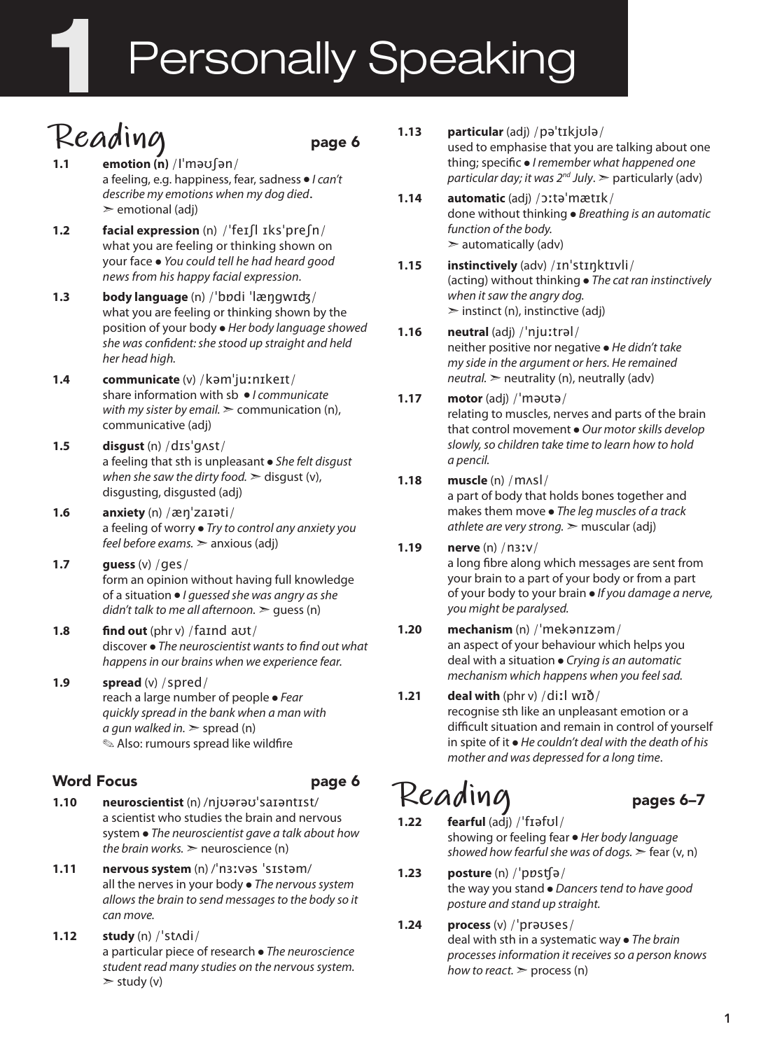# Personally Speaking

### **Reading** page 6

**1.1 emotion (n)** /Iˈməʊʃən/ a feeling, e.g. happiness, fear, sadness ● *I can't describe my emotions when my dog died*.  $\ge$  emotional (adj)

- **1.2 facial expression** (n) /ˈfeɪʃl ɪksˈpreʃn/ what you are feeling or thinking shown on your face ● *You could tell he had heard good news from his happy facial expression.*
- **1.3 body language** (n) /ˈbɒdi ˈlæŋgwɪʤ/ what you are feeling or thinking shown by the position of your body ● *Her body language showed she was confident: she stood up straight and held her head high.*
- **1.4 communicate** (v) /kəmˈjuːnɪkeɪt/ share information with sb ● *I communicate with my sister by email.* ► communication (n), communicative (adj)
- **1.5 disgust** (n) /dɪsˈgʌst/ a feeling that sth is unpleasant ● *She felt disgust when she saw the dirty food.*  $\geq$  disqust (v), disgusting, disgusted (adj)
- **1.6 anxiety** (n) /æŋˈzaɪəti/ a feeling of worry ● *Try to control any anxiety you feel before exams.* ➣ anxious (adj)
- **1.7 guess** (v) /ges/ form an opinion without having full knowledge of a situation ● *I guessed she was angry as she didn't talk to me all afternoon.* ➣ guess (n)
- **1.8 find out** (phr v) /faɪnd aʊt/ discover ● *The neuroscientist wants to find out what happens in our brains when we experience fear.*
- **1.9 spread** (v) /spred/ reach a large number of people ● *Fear quickly spread in the bank when a man with a gun walked in.*  $>$  spread (n) ✎ Also: rumours spread like wildfire

#### Word Focus **page 6**

- **1.10 neuroscientist** (n) /njʊərəʊˈsaɪəntɪst/ a scientist who studies the brain and nervous system ● *The neuroscientist gave a talk about how the brain works.*  $>$  neuroscience (n)
- **1.11 nervous system** (n) /ˈnɜːvəs ˈsɪstəm/ all the nerves in your body ● *The nervous system allows the brain to send messages to the body so it can move.*
- **1.12 study** (n) /ˈstʌdi/ a particular piece of research ● *The neuroscience student read many studies on the nervous system.*  $\ge$  study (v)
- **1.13 particular** (adj) /pəˈtɪkjʊlə/ used to emphasise that you are talking about one thing; specific ● *I remember what happened one particular day; it was 2nd July*. ➣ particularly (adv)
- **1.14 automatic** (adj) /ɔːtəˈmætɪk/ done without thinking ● *Breathing is an automatic function of the body.*  $\geq$  automatically (adv)
- **1.15 instinctively** (adv) /ɪnˈstɪŋktɪvli/ (acting) without thinking ● *The cat ran instinctively when it saw the angry dog.*  $\ge$  instinct (n), instinctive (adj)
- **1.16 neutral** (adj) /ˈnjuːtrəl/ neither positive nor negative ● *He didn't take my side in the argument or hers. He remained*   $neutral.$   $\geq$  neutrality (n), neutrally (adv)

#### **1.17 motor** (adj) /ˈməʊtə/ relating to muscles, nerves and parts of the brain that control movement ● *Our motor skills develop slowly, so children take time to learn how to hold a pencil.*

#### **1.18 muscle** (n) /mʌsl/

a part of body that holds bones together and makes them move ● *The leg muscles of a track athlete are very strong.* ➣ muscular (adj)

**1.19 nerve** (n) /nɜːv/ a long fibre along which messages are sent from your brain to a part of your body or from a part of your body to your brain ● *If you damage a nerve, you might be paralysed.*

#### **1.20 mechanism** (n) /ˈmekənɪzəm/ an aspect of your behaviour which helps you deal with a situation ● *Crying is an automatic mechanism which happens when you feel sad.*

#### **1.21 deal with** (phr v) /diːl wɪð/ recognise sth like an unpleasant emotion or a difficult situation and remain in control of yourself in spite of it ● *He couldn't deal with the death of his mother and was depressed for a long time*.

### **Reading** pages 6–7

**1.22 fearful** (adj) /ˈfɪəfʊl/

showing or feeling fear ● *Her body language showed how fearful she was of dogs.* ➣ fear (v, n)

**1.23 posture** (n) /ˈpɒsʧə/ the way you stand ● *Dancers tend to have good posture and stand up straight.*

#### **1.24 process** (v) /ˈprəʊses/ deal with sth in a systematic way ● *The brain processes information it receives so a person knows how to react.* ➣ process (n)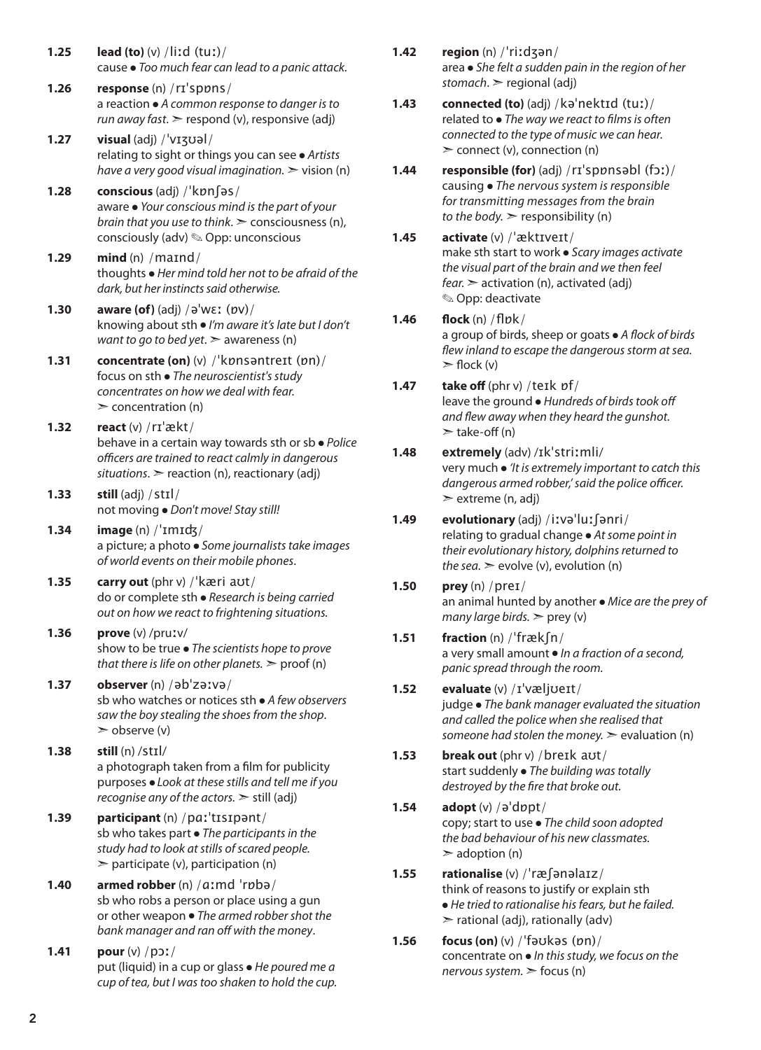- **1.25 lead (to)** (v) /liːd (tuː)/ cause ● *Too much fear can lead to a panic attack.*
- **1.26 response** (n) /rɪˈspɒns/ a reaction ● *A common response to danger is to run away fast*. ➣ respond (v), responsive (adj)
- **1.27 visual** (adj) /ˈvɪʒʊəl/ relating to sight or things you can see ● *Artists have a very good visual imagination.*  $\triangleright$  vision (n)
- **1.28 conscious** (adj) /ˈkɒnʃəs/ aware ● *Your conscious mind is the part of your brain that you use to think*. ➣ consciousness (n), consciously (adv) ✎ Opp: unconscious
- **1.29 mind** (n) /maɪnd/ thoughts ● *Her mind told her not to be afraid of the dark, but her instincts said otherwise.*
- **1.30 aware (of)** (adj) /əˈwɛː (ɒv)/ knowing about sth ● *I'm aware it's late but I don't want to go to bed yet*. ➣ awareness (n)
- **1.31 concentrate (on)** (v) /ˈkɒnsəntreɪt (ɒn)/ focus on sth ● *The neuroscientist's study concentrates on how we deal with fear.*  $\geq$  concentration (n)
- **1.32 react** (v) /rɪˈækt/ behave in a certain way towards sth or sb ● *Police officers are trained to react calmly in dangerous situations*. ➣ reaction (n), reactionary (adj)
- **1.33 still** (adj) /stɪl/ not moving ● *Don't move! Stay still!*
- **1.34 image** (n) /ˈɪmɪʤ/ a picture; a photo ● *Some journalists take images of world events on their mobile phones*.
- **1.35 carry out** (phr v) /ˈkæri aʊt/ do or complete sth ● *Research is being carried out on how we react to frightening situations.*
- **1.36 prove** (v) /pruːv/ show to be true ● *The scientists hope to prove that there is life on other planets.*  $>$  proof (n)
- **1.37 observer** (n) /əbˈzəːvə/ sb who watches or notices sth ● *A few observers saw the boy stealing the shoes from the shop*.  $\geq$  observe (v)
- **1.38 still** (n) /stɪl/ a photograph taken from a film for publicity purposes ● *Look at these stills and tell me if you recognise any of the actors.* ➣ still (adj)
- **1.39 participant** (n) /pɑːˈtɪsɪpənt/ sb who takes part ● *The participants in the study had to look at stills of scared people.*   $\triangleright$  participate (v), participation (n)
- **1.40 armed robber** (n) /ɑːmd ˈrɒbə/ sb who robs a person or place using a gun or other weapon ● *The armed robber shot the bank manager and ran off with the money*.
- **1.41 pour** (v) /pɔː/ put (liquid) in a cup or glass ● *He poured me a cup of tea, but I was too shaken to hold the cup.*
- **1.42 region** (n) /ˈriːdʒən/ area ● *She felt a sudden pain in the region of her stomach*. ➣ regional (adj)
- **1.43 connected (to)** (adj) /kəˈnektɪd (tuː)/ related to ● *The way we react to films is often connected to the type of music we can hear.*   $\geq$  connect (v), connection (n)
- **1.44 responsible (for)** (adj) /rɪˈspɒnsəbl (fɔː)/ causing ● *The nervous system is responsible for transmitting messages from the brain to the body.*  $\geq$  responsibility (n)
- **1.45 activate** (v) /ˈæktɪveɪt/ make sth start to work ● *Scary images activate the visual part of the brain and we then feel fear.* ➣ activation (n), activated (adj) ✎ Opp: deactivate
- **1.46 flock** (n) /flɒk/ a group of birds, sheep or goats ● *A flock of birds flew inland to escape the dangerous storm at sea.*   $\triangleright$  flock (v)
- **1.47 take off** (phr v) /teɪk ɒf/ leave the ground ● *Hundreds of birds took off and flew away when they heard the gunshot.*  $\ge$  take-off (n)
- **1.48 extremely** (adv) /ɪkˈstriːmli/ very much ● *'It is extremely important to catch this dangerous armed robber,' said the police officer.* ➣ extreme (n, adj)
- **1.49 evolutionary** (adj) /iːvəˈluːʃənri/ relating to gradual change ● *At some point in their evolutionary history, dolphins returned to the sea.*  $\geq$  evolve (v), evolution (n)
- **1.50 prey** (n) /preɪ/ an animal hunted by another ● *Mice are the prey of many large birds.*  $\ge$  prey (v)
- **1.51 fraction** (n) /ˈfrækʃn/ a very small amount ● *In a fraction of a second, panic spread through the room.*
- **1.52 evaluate** (v) /ɪˈvæljʊeɪt/ judge ● *The bank manager evaluated the situation and called the police when she realised that someone had stolen the money.* ➣ evaluation (n)
- **1.53 break out** (phr v) /breɪk aʊt/ start suddenly ● *The building was totally destroyed by the fire that broke out.*
- **1.54 adopt** (v) /əˈdɒpt/ copy; start to use ● *The child soon adopted the bad behaviour of his new classmates.*  $\geq$  adoption (n)
- **1.55 rationalise** (v) /ˈræʃənəlaɪz/ think of reasons to justify or explain sth ● *He tried to rationalise his fears, but he failed.*  $\triangleright$  rational (adj), rationally (adv)
- **1.56 focus (on)** (v) /ˈfəʊkəs (ɒn)/ concentrate on ● *In this study, we focus on the nervous system.* ➣ focus (n)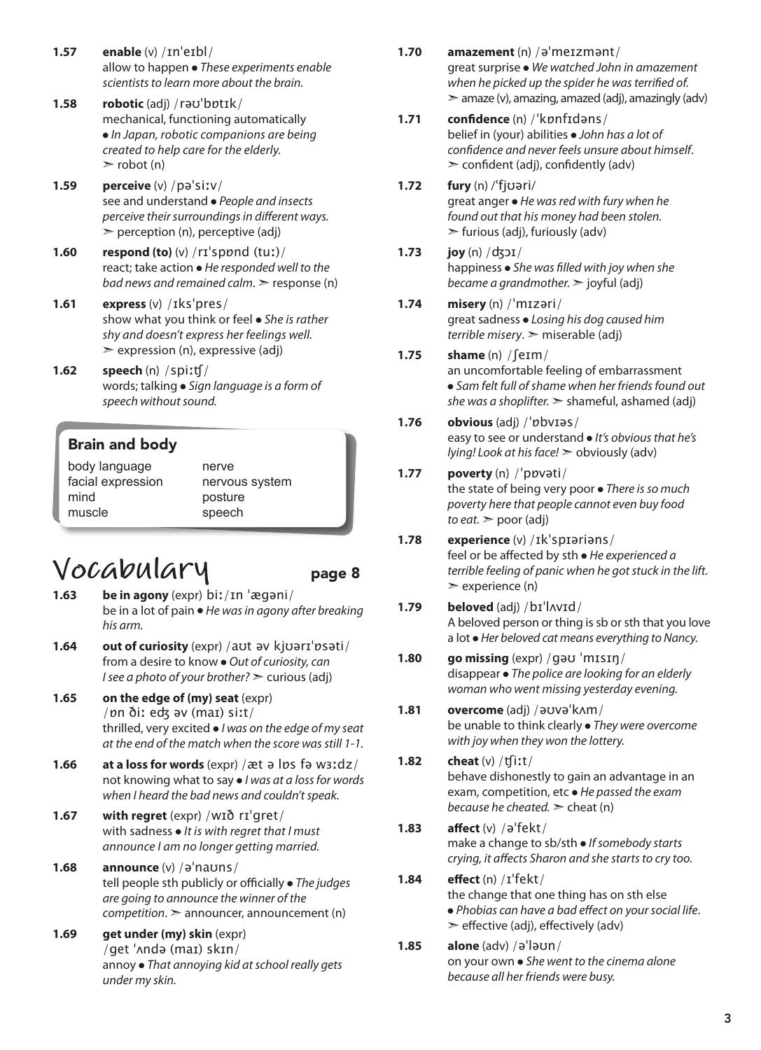- **1.57 enable** (v) /ɪnˈeɪbl/ allow to happen ● *These experiments enable scientists to learn more about the brain.*
- **1.58 robotic** (adj) /rəʊˈbɒtɪk/ mechanical, functioning automatically ● *In Japan, robotic companions are being created to help care for the elderly.*  $\ge$  robot (n)
- **1.59 perceive** (v) /pəˈsiːv/ see and understand ● *People and insects perceive their surroundings in different ways.*   $\triangleright$  perception (n), perceptive (adj)
- **1.60 respond (to)** (v) /rɪˈspɒnd (tuː)/ react; take action ● *He responded well to the bad news and remained calm.*  $\geq$  response (n)
- **1.61 express** (v) /ɪksˈpres/ show what you think or feel ● *She is rather shy and doesn't express her feelings well.*   $\geq$  expression (n), expressive (adj)
- **1.62 speech** (n) /spiːʧ/ words; talking ● *Sign language is a form of speech without sound.*

#### Brain and body

body language facial expression mind muscle

nerve nervous system posture speech

### **Vocabulary** page 8

- **1.63 be in agony** (expr) biː/ɪn ˈægəni/ be in a lot of pain ● *He was in agony after breaking his arm.*
- **1.64 out of curiosity** (expr) /aʊt əv kjʊərɪˈɒsəti/ from a desire to know ● *Out of curiosity, can I* see a photo of your brother?  $\geq$  curious (adj)
- **1.65 on the edge of (my) seat** (expr) /ɒn ðiː eʤ əv (maɪ) siːt/ thrilled, very excited ● *I was on the edge of my seat at the end of the match when the score was still 1-1.*
- **1.66 at a loss for words** (expr) /æt ə lɒs fə wɜːdz/ not knowing what to say ● *I was at a loss for words when I heard the bad news and couldn't speak.*
- **1.67 with regret** (expr) /wɪð rɪˈgret/ with sadness ● *It is with regret that I must announce I am no longer getting married.*
- **1.68 announce** (v) /əˈnaʊns/ tell people sth publicly or officially ● *The judges are going to announce the winner of the competition*. ➣ announcer, announcement (n)
- **1.69 get under (my) skin** (expr) /get ˈʌndə (maɪ) skɪn/ annoy ● *That annoying kid at school really gets under my skin.*
- **1.70 amazement** (n) /əˈmeɪzmənt/ great surprise ● *We watched John in amazement when he picked up the spider he was terrified of.*  $\geq$  amaze (v), amazing, amazed (adj), amazingly (adv)
- **1.71 confidence** (n) /ˈkɒnfɪdəns/ belief in (your) abilities ● *John has a lot of confidence and never feels unsure about himself*.  $\geq$  confident (adj), confidently (adv)
- **1.72 fury** (n) /ˈfjʊəri/ great anger ● *He was red with fury when he found out that his money had been stolen.*  $\blacktriangleright$  furious (adj), furiously (adv)
- **1.73 joy** (n) /ʤɔɪ/ happiness ● *She was filled with joy when she became a grandmother.* ➣ joyful (adj)
- **1.74 misery** (n) /ˈmɪzəri/ great sadness ● *Losing his dog caused him terrible misery*. ➣ miserable (adj)

#### **1.75 shame** (n) /ʃeɪm/

an uncomfortable feeling of embarrassment ● *Sam felt full of shame when her friends found out she was a shoplifter.* ➣ shameful, ashamed (adj)

**1.76 obvious** (adj) /ˈɒbvɪəs/ easy to see or understand ● *It's obvious that he's lying! Look at his face!* ➣ obviously (adv)

#### **1.77 poverty** (n) /ˈpɒvəti/ the state of being very poor ● *There is so much poverty here that people cannot even buy food to eat.* ➣ poor (adj)

- **1.78 experience** (v) /ɪkˈspɪəriəns/ feel or be affected by sth ● *He experienced a terrible feeling of panic when he got stuck in the lift.*  $\geq$  experience (n)
- **1.79 beloved** (adj) /bɪˈlʌvɪd/ A beloved person or thing is sb or sth that you love a lot ● *Her beloved cat means everything to Nancy.*
- **1.80 go missing** (expr) /gəʊ ˈmɪsɪŋ/ disappear ● *The police are looking for an elderly woman who went missing yesterday evening.*
- **1.81 overcome** (adj) /əʊvəˈkʌm/ be unable to think clearly ● *They were overcome with joy when they won the lottery.*
- **1.82 cheat** (v) /ʧiːt/ behave dishonestly to gain an advantage in an exam, competition, etc ● *He passed the exam because he cheated.* ➣ cheat (n)
- **1.83 affect** (v) /əˈfekt/ make a change to sb/sth ● *If somebody starts crying, it affects Sharon and she starts to cry too.*
- **1.84 effect** (n) /ɪˈfekt/ the change that one thing has on sth else ● *Phobias can have a bad effect on your social life*.  $\geq$  effective (adj), effectively (adv)
- **1.85 alone** (adv) /əˈləʊn/ on your own ● *She went to the cinema alone because all her friends were busy.*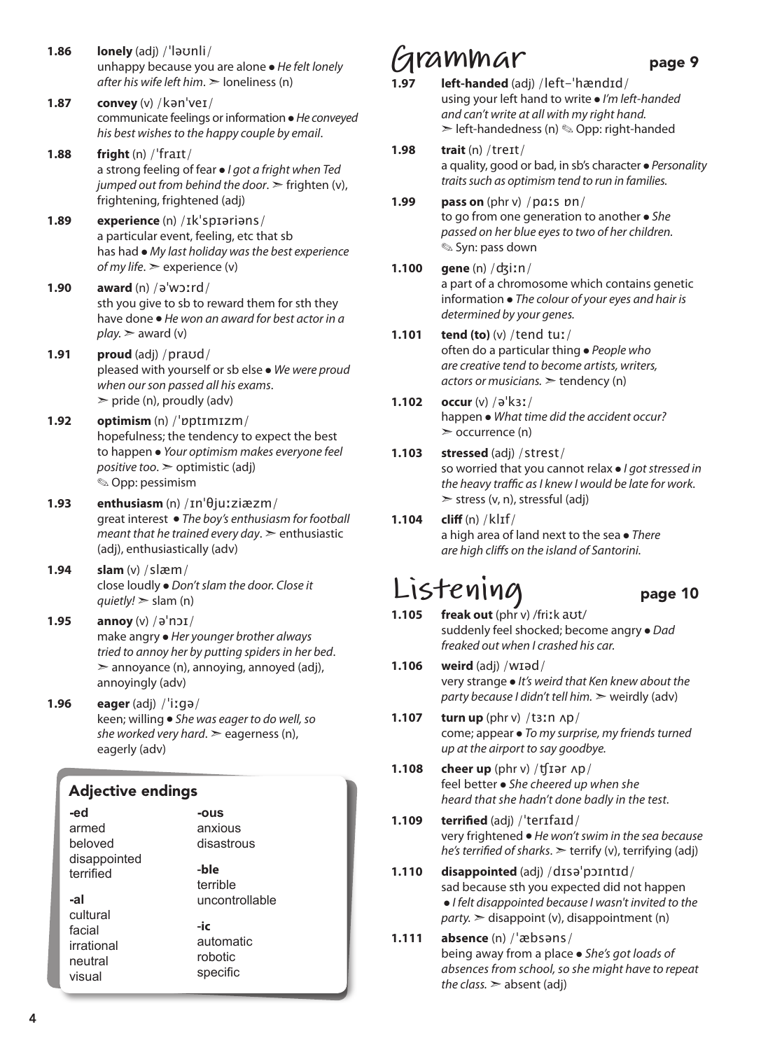- **1.86 lonely** (adj) /ˈləʊnli/ unhappy because you are alone ● *He felt lonely after his wife left him*. ➣ loneliness (n)
- **1.87 convey** (v) /kənˈveɪ/ communicate feelings or information ● *He conveyed his best wishes to the happy couple by email*.
- **1.88 fright** (n) /ˈfraɪt/ a strong feeling of fear ● *I got a fright when Ted jumped out from behind the door.*  $\geq$  frighten (v), frightening, frightened (adj)
- **1.89 experience** (n) /ɪkˈspɪəriəns/ a particular event, feeling, etc that sb has had ● *My last holiday was the best experience of my life*. ➣ experience (v)
- **1.90 award** (n) /əˈwɔːrd/ sth you give to sb to reward them for sth they have done ● *He won an award for best actor in a*   $play.$   $\geq$  award (v)
- **1.91 proud** (adj) /praʊd/ pleased with yourself or sb else ● *We were proud when our son passed all his exams*.  $\triangleright$  pride (n), proudly (adv)
- **1.92 optimism** (n) /ˈɒptɪmɪzm/ hopefulness; the tendency to expect the best to happen ● *Your optimism makes everyone feel positive too*. ➣ optimistic (adj) ✎ Opp: pessimism
- **1.93 enthusiasm** (n) /ɪnˈθjuːziæzm/ great interest ● *The boy's enthusiasm for football meant that he trained every day*. ➣ enthusiastic (adj), enthusiastically (adv)
- **1.94 slam** (v) /slæm/ close loudly ● *Don't slam the door. Close it quietly!* ➣ slam (n)
- **1.95 annoy** (v) /əˈnɔɪ/ make angry ● *Her younger brother always tried to annoy her by putting spiders in her bed*.  $\geq$  annoyance (n), annoying, annoyed (adj), annoyingly (adv)
- **1.96 eager** (adj) /ˈiːgə/ keen; willing ● *She was eager to do well, so she worked very hard*. ➣ eagerness (n), eagerly (adv)

#### Adjective endings

| -ed                                                   | -ous                                    |
|-------------------------------------------------------|-----------------------------------------|
| armed                                                 | anxious                                 |
| beloved                                               | disastrous                              |
| disappointed<br>terrified                             | -ble<br>terrible                        |
| -al                                                   | uncontrollable                          |
| cultural<br>facial<br>irrational<br>neutral<br>visual | -ic<br>automatic<br>robotic<br>specific |

### **Grammar** page 9

- **1.97 left-handed** (adj) /left-ˈhændɪd/ using your left hand to write ● *I'm left-handed and can't write at all with my right hand.* ➣ left-handedness (n) ✎ Opp: right-handed
- **1.98 trait** (n) /treɪt/ a quality, good or bad, in sb's character ● *Personality traits such as optimism tend to run in families.*
- **1.99 pass on** (phr v) /pɑːs ɒn/ to go from one generation to another ● *She passed on her blue eyes to two of her children.* ✎ Syn: pass down
- **1.100 gene** (n) /ʤiːn/ a part of a chromosome which contains genetic information ● *The colour of your eyes and hair is determined by your genes.*
- **1.101 tend (to)** (v) /tend tuː/ often do a particular thing ● *People who are creative tend to become artists, writers, actors or musicians.* ➣ tendency (n)
- **1.102 occur** (v) /əˈkɜː/ happen ● *What time did the accident occur?* ➣ occurrence (n)
- **1.103 stressed** (adj) /strest/ so worried that you cannot relax ● *I got stressed in the heavy traffic as I knew I would be late for work.*  $\triangleright$  stress (v, n), stressful (adj)
- **1.104 cliff** (n) /klɪf/ a high area of land next to the sea ● *There are high cliffs on the island of Santorini.*

### **Listening** page 10

- **1.105 freak out** (phr v) /friːk aʊt/ suddenly feel shocked; become angry ● *Dad freaked out when I crashed his car.*
- **1.106 weird** (adj) /wɪəd/ very strange ● *It's weird that Ken knew about the party because I didn't tell him.* ➣ weirdly (adv)
- **1.107 turn up** (phr v) /tɜːn ʌp/ come; appear ● *To my surprise, my friends turned up at the airport to say goodbye.*
- **1.108 cheer up** (phr v) /ʧɪər ʌp/ feel better ● *She cheered up when she heard that she hadn't done badly in the test.*
- **1.109 terrified** (adj) /ˈterɪfaɪd/ very frightened ● *He won't swim in the sea because he's terrified of sharks*. ➣ terrify (v), terrifying (adj)
- **1.110 disappointed** (adj) /dɪsəˈpɔɪntɪd/ sad because sth you expected did not happen ● *I felt disappointed because I wasn't invited to the party.* ➣ disappoint (v), disappointment (n)
- **1.111 absence** (n) /ˈæbsəns/ being away from a place ● *She's got loads of absences from school, so she might have to repeat the class.*  $>$  absent (adj)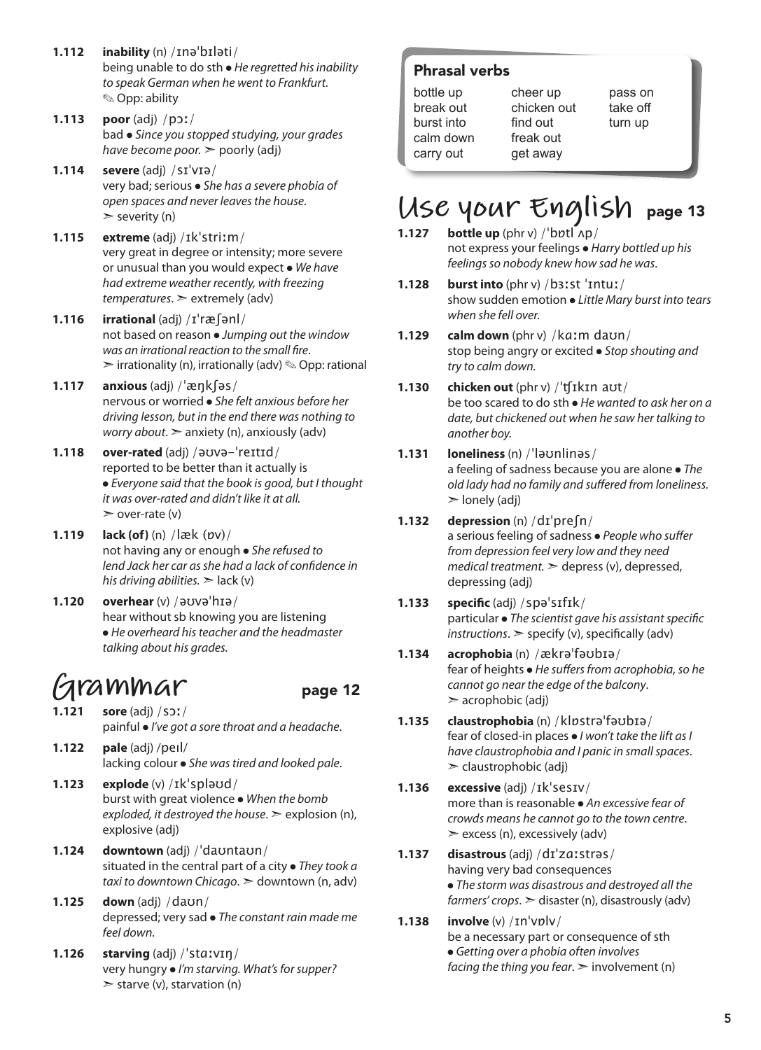- **1.112 inability** (n) /ɪnəˈbɪləti/ being unable to do sth ● *He regretted his inability to speak German when he went to Frankfurt.* ✎ Opp: ability
- **1.113 poor** (adj) /pɔː/ bad ● *Since you stopped studying, your grades have become poor.* ➣ poorly (adj)
- **1.114 severe** (adj) /sɪˈvɪə/ very bad; serious ● *She has a severe phobia of open spaces and never leaves the house*.  $\ge$  severity (n)
- **1.115 extreme** (adj) /ɪkˈstriːm/ very great in degree or intensity; more severe or unusual than you would expect ● *We have had extreme weather recently, with freezing temperatures*. ➣ extremely (adv)
- **1.116 irrational** (adj) /ɪˈræʃənl/ not based on reason ● *Jumping out the window was an irrational reaction to the small fire*.  $\triangleright$  irrationality (n), irrationally (adv)  $\otimes$  Opp: rational
- **1.117 anxious** (adj) /ˈæŋkʃəs/ nervous or worried ● *She felt anxious before her driving lesson, but in the end there was nothing to worry about*. ➣ anxiety (n), anxiously (adv)
- **1.118 over-rated** (adj) /əʊvə-ˈreɪtɪd/ reported to be better than it actually is ● *Everyone said that the book is good, but I thought it was over-rated and didn't like it at all.*  $\geq$  over-rate (v)
- **1.119 lack (of)** (n) /læk (ɒv)/ not having any or enough ● *She refused to lend Jack her car as she had a lack of confidence in his driving abilities.*  $\geq$  lack (v)
- **1.120 overhear** (v) /əʊvəˈhɪə/ hear without sb knowing you are listening ● *He overheard his teacher and the headmaster talking about his grades.*

### **F**ammar page 12

- **1.121 sore** (adj) /sɔː/ painful ● *I've got a sore throat and a headache*.
- **1.122 pale** (adj) /peıl/ lacking colour ● *She was tired and looked pale*.
- **1.123 explode** (v) /ɪkˈspləʊd/ burst with great violence ● *When the bomb exploded, it destroyed the house*. ➣ explosion (n), explosive (adj)
- **1.124 downtown** (adj) /ˈdaʊntaʊn/ situated in the central part of a city ● *They took a taxi to downtown Chicago*. ➣ downtown (n, adv)
- **1.125 down** (adj) /daʊn/ depressed; very sad ● *The constant rain made me feel down.*
- **1.126 starving** (adj) /ˈstɑːvɪŋ/ very hungry ● *I'm starving. What's for supper?*  $>$  starve (v), starvation (n)

#### Phrasal verbs

| bottle up  |
|------------|
| break out  |
| burst into |
| calm down  |
| carry out  |

cheer up chicken out find out freak out get away

### take off turn up

pass on

## USE YOUR English page 13

- **1.127 bottle up** (phr v) /ˈbɒtl ʌp/ not express your feelings ● *Harry bottled up his feelings so nobody knew how sad he was*.
- **1.128 burst into** (phr v) /bɜːst ˈɪntuː/ show sudden emotion ● *Little Mary burst into tears when she fell over.*
- **1.129 calm down** (phr v) /kɑːm daʊn/ stop being angry or excited ● *Stop shouting and try to calm down.*
- **1.130 chicken out** (phr v) /ˈʧɪkɪn aʊt/ be too scared to do sth ● *He wanted to ask her on a date, but chickened out when he saw her talking to another boy.*
- **1.131 loneliness** (n) /ˈləʊnlinəs/ a feeling of sadness because you are alone ● *The old lady had no family and suffered from loneliness.*  $\geq$  lonely (adj)
- **1.132 depression** (n) /dɪˈpreʃn/ a serious feeling of sadness ● *People who suffer from depression feel very low and they need medical treatment.* ➣ depress (v), depressed, depressing (adj)
- **1.133 specific** (adj) /spəˈsɪfɪk/ particular ● *The scientist gave his assistant specific instructions*. ➣ specify (v), specifically (adv)
- **1.134 acrophobia** (n) /ækrəˈfəʊbɪə/ fear of heights ● *He suffers from acrophobia, so he cannot go near the edge of the balcony*.  $\geq$  acrophobic (adj)
- **1.135 claustrophobia** (n) /klɒstrəˈfəʊbɪə/ fear of closed-in places ● *I won't take the lift as I have claustrophobia and I panic in small spaces*.  $\geq$  claustrophobic (adj)
- **1.136 excessive** (adj) /ɪkˈsesɪv/ more than is reasonable ● *An excessive fear of crowds means he cannot go to the town centre*.  $\ge$  excess (n), excessively (adv)
- **1.137 disastrous** (adj) /dɪˈzɑːstrəs/ having very bad consequences ● *The storm was disastrous and destroyed all the farmers' crops*. ➣ disaster (n), disastrously (adv)
- **1.138 involve** (v) /ɪnˈvɒlv/ be a necessary part or consequence of sth ● *Getting over a phobia often involves facing the thing you fear*. ➣ involvement (n)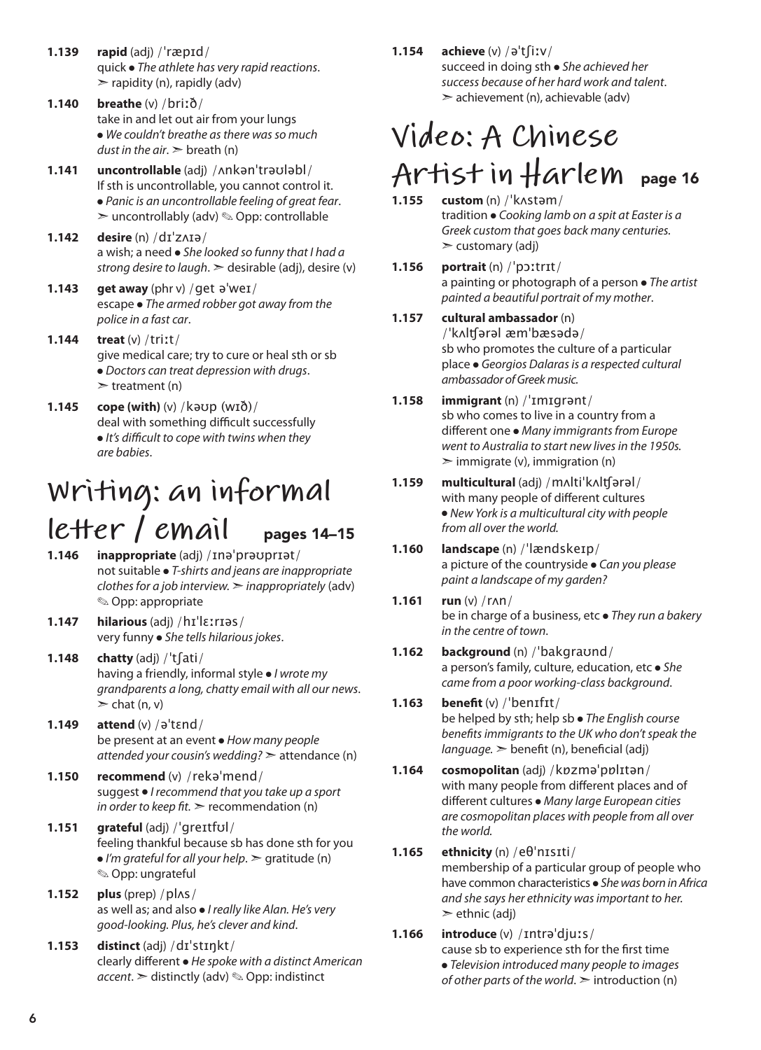- **1.139 rapid** (adj) /ˈræpɪd/ quick ● *The athlete has very rapid reactions*.  $\triangleright$  rapidity (n), rapidly (adv)
- **1.140 breathe** (v) /briːð/ take in and let out air from your lungs ● *We couldn't breathe as there was so much dust in the air*. ➣ breath (n)
- **1.141 uncontrollable** (adj) /ʌnkənˈtrəʊləbl/ If sth is uncontrollable, you cannot control it. ● *Panic is an uncontrollable feeling of great fear*.  $\geq$  uncontrollably (adv)  $\otimes$  Opp: controllable
- **1.142 desire** (n) /dɪˈzʌɪə/ a wish; a need ● *She looked so funny that I had a strong desire to laugh*. ➣ desirable (adj), desire (v)
- **1.143 get away** (phr v) /get əˈweɪ/ escape ● *The armed robber got away from the police in a fast car*.
- **1.144 treat** (v) /triːt/ give medical care; try to cure or heal sth or sb ● *Doctors can treat depression with drugs*.  $\triangleright$  treatment (n)
- **1.145 cope (with)** (v) /kəʊp (wɪð)/ deal with something difficult successfully ● *It's difficult to cope with twins when they are babies*.

### **Writing: an informal letter / email** pages 14–15

- **1.146 inappropriate** (adj) /ɪnəˈprəʊprɪət/ not suitable ● *T-shirts and jeans are inappropriate clothes for a job interview.* ➣ *inappropriately* (adv) ✎ Opp: appropriate
- **1.147 hilarious** (adj) /hɪˈlɛːrɪəs/ very funny ● *She tells hilarious jokes*.
- **1.148 chatty** (adj) /ˈtʃati/ having a friendly, informal style ● *I wrote my grandparents a long, chatty email with all our news*.  $\ge$  chat (n, v)
- **1.149 attend** (v) /əˈtɛnd/ be present at an event ● *How many people attended your cousin's wedding?* ➣ attendance (n)
- **1.150 recommend** (v) /rekəˈmend/ suggest ● *I recommend that you take up a sport in order to keep fit.*  $\geq$  recommendation (n)
- **1.151 grateful** (adj) /ˈgreɪtfʊl/ feeling thankful because sb has done sth for you ● *I'm grateful for all your help*. ➣ gratitude (n) ✎ Opp: ungrateful
- **1.152 plus** (prep) /plʌs/ as well as; and also ● *I really like Alan. He's very good-looking. Plus, he's clever and kind*.
- **1.153 distinct** (adj) /dɪˈstɪŋkt/ clearly different ● *He spoke with a distinct American accent*. ➣ distinctly (adv) ✎ Opp: indistinct

#### **1.154 achieve** (v) /əˈtʃiːv/

succeed in doing sth ● *She achieved her success because of her hard work and talent*. ➣ achievement (n), achievable (adv)

### **Video: A Chinese Artist in Harlem** page 16

#### **1.155 custom** (n) /ˈkʌstəm/

tradition ● *Cooking lamb on a spit at Easter is a Greek custom that goes back many centuries.*  $\geq$  customary (adj)

- **1.156 portrait** (n) /ˈpɔːtrɪt/ a painting or photograph of a person ● *The artist painted a beautiful portrait of my mother*.
- **1.157 cultural ambassador** (n) /ˈkʌlʧərəl æmˈbæsədə/ sb who promotes the culture of a particular place ● *Georgios Dalaras is a respected cultural*

#### *ambassador of Greek music.* **1.158 immigrant** (n) /ˈɪmɪgrənt/ sb who comes to live in a country from a different one ● *Many immigrants from Europe went to Australia to start new lives in the 1950s.*  $\geq$  immigrate (v), immigration (n)

- **1.159 multicultural** (adj) /mʌltiˈkʌlʧərəl/ with many people of different cultures ● *New York is a multicultural city with people from all over the world.*
- **1.160 landscape** (n) /ˈlændskeɪp/ a picture of the countryside ● *Can you please paint a landscape of my garden?*
- **1.161 run** (v) /rʌn/ be in charge of a business, etc ● *They run a bakery in the centre of town*.
- **1.162 background** (n) /ˈbakgraʊnd/ a person's family, culture, education, etc ● *She came from a poor working-class background*.
- **1.163 benefit** (v) /ˈbenɪfɪt/ be helped by sth; help sb ● *The English course benefits immigrants to the UK who don't speak the language.* ➣ benefit (n), beneficial (adj)
- **1.164 cosmopolitan** (adj) /kɒzməˈpɒlɪtən/ with many people from different places and of different cultures ● *Many large European cities are cosmopolitan places with people from all over the world.*
- **1.165 ethnicity** (n) /eθˈnɪsɪti/ membership of a particular group of people who have common characteristics ● *She was born in Africa and she says her ethnicity was important to her.*   $\geq$  ethnic (adj)

#### **1.166 introduce** (v) /ɪntrəˈdjuːs/ cause sb to experience sth for the first time ● *Television introduced many people to images of other parts of the world.* ► introduction (n)